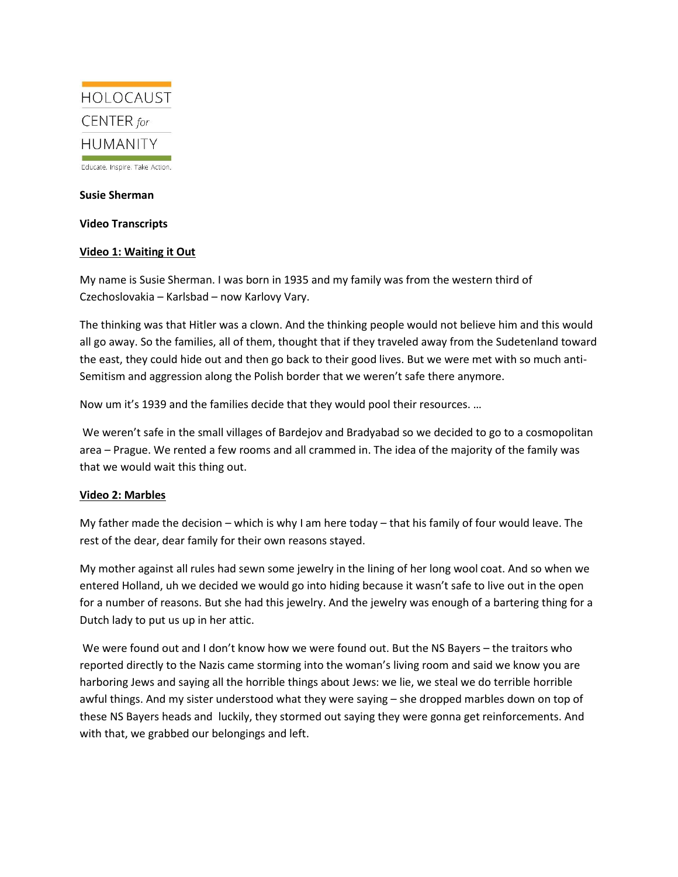

Educate. Inspire. Take Action.

#### **Susie Sherman**

**Video Transcripts**

#### **Video 1: Waiting it Out**

My name is Susie Sherman. I was born in 1935 and my family was from the western third of Czechoslovakia – Karlsbad – now Karlovy Vary.

The thinking was that Hitler was a clown. And the thinking people would not believe him and this would all go away. So the families, all of them, thought that if they traveled away from the Sudetenland toward the east, they could hide out and then go back to their good lives. But we were met with so much anti-Semitism and aggression along the Polish border that we weren't safe there anymore.

Now um it's 1939 and the families decide that they would pool their resources. …

We weren't safe in the small villages of Bardejov and Bradyabad so we decided to go to a cosmopolitan area – Prague. We rented a few rooms and all crammed in. The idea of the majority of the family was that we would wait this thing out.

## **Video 2: Marbles**

My father made the decision – which is why I am here today – that his family of four would leave. The rest of the dear, dear family for their own reasons stayed.

My mother against all rules had sewn some jewelry in the lining of her long wool coat. And so when we entered Holland, uh we decided we would go into hiding because it wasn't safe to live out in the open for a number of reasons. But she had this jewelry. And the jewelry was enough of a bartering thing for a Dutch lady to put us up in her attic.

We were found out and I don't know how we were found out. But the NS Bayers – the traitors who reported directly to the Nazis came storming into the woman's living room and said we know you are harboring Jews and saying all the horrible things about Jews: we lie, we steal we do terrible horrible awful things. And my sister understood what they were saying – she dropped marbles down on top of these NS Bayers heads and luckily, they stormed out saying they were gonna get reinforcements. And with that, we grabbed our belongings and left.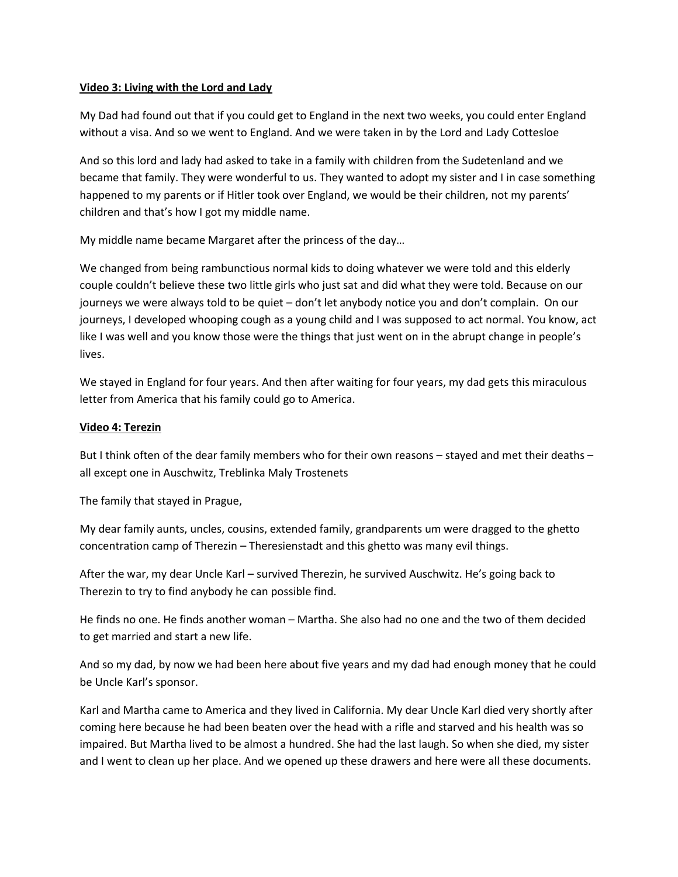## **Video 3: Living with the Lord and Lady**

My Dad had found out that if you could get to England in the next two weeks, you could enter England without a visa. And so we went to England. And we were taken in by the Lord and Lady Cottesloe

And so this lord and lady had asked to take in a family with children from the Sudetenland and we became that family. They were wonderful to us. They wanted to adopt my sister and I in case something happened to my parents or if Hitler took over England, we would be their children, not my parents' children and that's how I got my middle name.

My middle name became Margaret after the princess of the day…

We changed from being rambunctious normal kids to doing whatever we were told and this elderly couple couldn't believe these two little girls who just sat and did what they were told. Because on our journeys we were always told to be quiet – don't let anybody notice you and don't complain. On our journeys, I developed whooping cough as a young child and I was supposed to act normal. You know, act like I was well and you know those were the things that just went on in the abrupt change in people's lives.

We stayed in England for four years. And then after waiting for four years, my dad gets this miraculous letter from America that his family could go to America.

## **Video 4: Terezin**

But I think often of the dear family members who for their own reasons – stayed and met their deaths – all except one in Auschwitz, Treblinka Maly Trostenets

The family that stayed in Prague,

My dear family aunts, uncles, cousins, extended family, grandparents um were dragged to the ghetto concentration camp of Therezin – Theresienstadt and this ghetto was many evil things.

After the war, my dear Uncle Karl – survived Therezin, he survived Auschwitz. He's going back to Therezin to try to find anybody he can possible find.

He finds no one. He finds another woman – Martha. She also had no one and the two of them decided to get married and start a new life.

And so my dad, by now we had been here about five years and my dad had enough money that he could be Uncle Karl's sponsor.

Karl and Martha came to America and they lived in California. My dear Uncle Karl died very shortly after coming here because he had been beaten over the head with a rifle and starved and his health was so impaired. But Martha lived to be almost a hundred. She had the last laugh. So when she died, my sister and I went to clean up her place. And we opened up these drawers and here were all these documents.